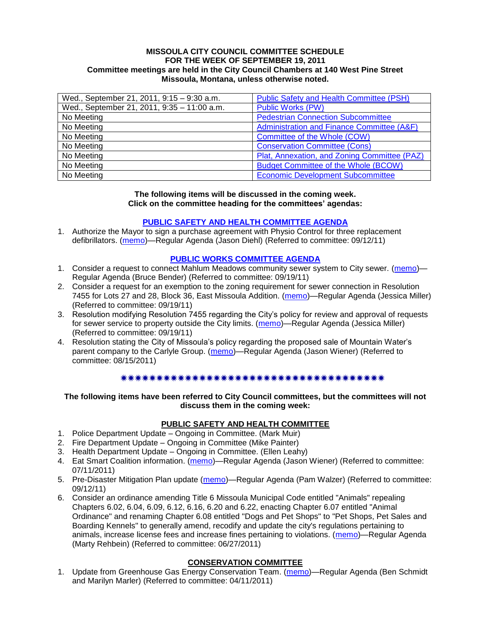#### **MISSOULA CITY COUNCIL COMMITTEE SCHEDULE FOR THE WEEK OF SEPTEMBER 19, 2011 Committee meetings are held in the City Council Chambers at 140 West Pine Street Missoula, Montana, unless otherwise noted.**

| Wed., September 21, 2011, 9:15 - 9:30 a.m.  | <b>Public Safety and Health Committee (PSH)</b>       |
|---------------------------------------------|-------------------------------------------------------|
| Wed., September 21, 2011, 9:35 - 11:00 a.m. | <b>Public Works (PW)</b>                              |
| No Meeting                                  | <b>Pedestrian Connection Subcommittee</b>             |
| No Meeting                                  | <b>Administration and Finance Committee (A&amp;F)</b> |
| No Meeting                                  | Committee of the Whole (COW)                          |
| No Meeting                                  | <b>Conservation Committee (Cons)</b>                  |
| No Meeting                                  | Plat, Annexation, and Zoning Committee (PAZ)          |
| No Meeting                                  | <b>Budget Committee of the Whole (BCOW)</b>           |
| No Meeting                                  | <b>Economic Development Subcommittee</b>              |

#### **The following items will be discussed in the coming week. Click on the committee heading for the committees' agendas:**

## **[PUBLIC SAFETY AND HEALTH COMMITTEE AGENDA](http://www.ci.missoula.mt.us/DocumentCenterii.aspx?FID=836)**

1. Authorize the Mayor to sign a purchase agreement with Physio Control for three replacement defibrillators. [\(memo\)](http://www.ci.missoula.mt.us/DocumentView.aspx?DID=7231)—Regular Agenda (Jason Diehl) (Referred to committee: 09/12/11)

### **[PUBLIC WORKS COMMITTEE AGENDA](http://www.ci.missoula.mt.us/DocumentCenterii.aspx?FID=833)**

- 1. Consider a request to connect Mahlum Meadows community sewer system to City sewer. [\(memo\)](http://www.ci.missoula.mt.us/DocumentView.aspx?DID=7293) Regular Agenda (Bruce Bender) (Referred to committee: 09/19/11)
- 2. Consider a request for an exemption to the zoning requirement for sewer connection in Resolution 7455 for Lots 27 and 28, Block 36, East Missoula Addition. [\(memo\)](http://www.ci.missoula.mt.us/DocumentView.aspx?DID=7294)—Regular Agenda (Jessica Miller) (Referred to committee: 09/19/11)
- 3. Resolution modifying Resolution 7455 regarding the City's policy for review and approval of requests for sewer service to property outside the City limits. [\(memo\)](http://www.ci.missoula.mt.us/DocumentView.aspx?DID=7295)—Regular Agenda (Jessica Miller) (Referred to committee: 09/19/11)
- 4. Resolution stating the City of Missoula's policy regarding the proposed sale of Mountain Water's parent company to the Carlyle Group. [\(memo\)](http://www.ci.missoula.mt.us/DocumentView.aspx?DID=7078)—Regular Agenda (Jason Wiener) (Referred to committee: 08/15/2011)

#### 

### **The following items have been referred to City Council committees, but the committees will not discuss them in the coming week:**

## **PUBLIC SAFETY AND HEALTH COMMITTEE**

- 1. Police Department Update Ongoing in Committee. (Mark Muir)
- 2. Fire Department Update Ongoing in Committee (Mike Painter)
- 3. Health Department Update Ongoing in Committee. (Ellen Leahy)
- 4. Eat Smart Coalition information. [\(memo\)](http://www.ci.missoula.mt.us/DocumentView.aspx?DID=6776)—Regular Agenda (Jason Wiener) (Referred to committee: 07/11/2011)
- 5. Pre-Disaster Mitigation Plan update [\(memo\)](http://www.ci.missoula.mt.us/DocumentView.aspx?DID=7230)—Regular Agenda (Pam Walzer) (Referred to committee: 09/12/11)
- 6. Consider an ordinance amending Title 6 Missoula Municipal Code entitled "Animals" repealing Chapters 6.02, 6.04, 6.09, 6.12, 6.16, 6.20 and 6.22, enacting Chapter 6.07 entitled "Animal Ordinance" and renaming Chapter 6.08 entitled "Dogs and Pet Shops" to "Pet Shops, Pet Sales and Boarding Kennels" to generally amend, recodify and update the city's regulations pertaining to animals, increase license fees and increase fines pertaining to violations. [\(memo\)](http://www.ci.missoula.mt.us/DocumentView.aspx?DID=6698)—Regular Agenda (Marty Rehbein) (Referred to committee: 06/27/2011)

## **CONSERVATION COMMITTEE**

1. Update from Greenhouse Gas Energy Conservation Team. [\(memo\)](http://www.ci.missoula.mt.us/DocumentView.aspx?DID=5945)—Regular Agenda (Ben Schmidt and Marilyn Marler) (Referred to committee: 04/11/2011)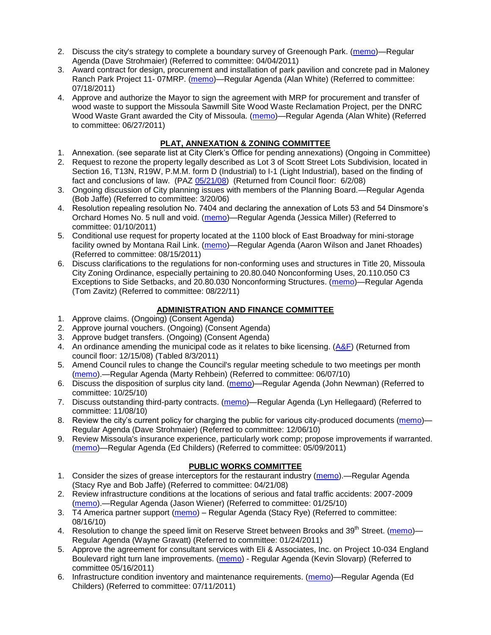- 2. Discuss the city's strategy to complete a boundary survey of Greenough Park. [\(memo\)](http://www.ci.missoula.mt.us/DocumentView.aspx?DID=5875)—Regular Agenda (Dave Strohmaier) (Referred to committee: 04/04/2011)
- 3. Award contract for design, procurement and installation of park pavilion and concrete pad in Maloney Ranch Park Project 11- 07MRP. [\(memo\)](http://www.ci.missoula.mt.us/DocumentView.aspx?DID=6859)—Regular Agenda (Alan White) (Referred to committee: 07/18/2011)
- 4. Approve and authorize the Mayor to sign the agreement with MRP for procurement and transfer of wood waste to support the Missoula Sawmill Site Wood Waste Reclamation Project, per the DNRC Wood Waste Grant awarded the City of Missoula. [\(memo\)](http://www.ci.missoula.mt.us/DocumentView.aspx?DID=6682)—Regular Agenda (Alan White) (Referred to committee: 06/27/2011)

# **PLAT, ANNEXATION & ZONING COMMITTEE**

- 1. Annexation. (see separate list at City Clerk's Office for pending annexations) (Ongoing in Committee)
- 2. Request to rezone the property legally described as Lot 3 of Scott Street Lots Subdivision, located in Section 16, T13N, R19W, P.M.M. form D (Industrial) to I-1 (Light Industrial), based on the finding of fact and conclusions of law. (PAZ [05/21/08\)](ftp://ftp.ci.missoula.mt.us/Packets/Council/2008/2008-06-02/080521paz.pdf) (Returned from Council floor: 6/2/08)
- 3. Ongoing discussion of City planning issues with members of the Planning Board.—Regular Agenda (Bob Jaffe) (Referred to committee: 3/20/06)
- 4. Resolution repealing resolution No. 7404 and declaring the annexation of Lots 53 and 54 Dinsmore's Orchard Homes No. 5 null and void. [\(memo\)](http://www.ci.missoula.mt.us/DocumentView.aspx?DID=5349)—Regular Agenda (Jessica Miller) (Referred to committee: 01/10/2011)
- 5. Conditional use request for property located at the 1100 block of East Broadway for mini-storage facility owned by Montana Rail Link. [\(memo\)](http://www.ci.missoula.mt.us/DocumentView.aspx?DID=7067)—Regular Agenda (Aaron Wilson and Janet Rhoades) (Referred to committee: 08/15/2011)
- 6. Discuss clarifications to the regulations for non-conforming uses and structures in Title 20, Missoula City Zoning Ordinance, especially pertaining to 20.80.040 Nonconforming Uses, 20.110.050 C3 Exceptions to Side Setbacks, and 20.80.030 Nonconforming Structures. [\(memo\)](http://www.ci.missoula.mt.us/DocumentView.aspx?DID=7140)—Regular Agenda (Tom Zavitz) (Referred to committee: 08/22/11)

# **ADMINISTRATION AND FINANCE COMMITTEE**

- 1. Approve claims. (Ongoing) (Consent Agenda)
- 2. Approve journal vouchers. (Ongoing) (Consent Agenda)
- 3. Approve budget transfers. (Ongoing) (Consent Agenda)
- 4. An ordinance amending the municipal code as it relates to bike licensing. [\(A&F\)](ftp://ftp.ci.missoula.mt.us/Packets/Council/2008/2008-12-15/081210af.pdf) (Returned from council floor: 12/15/08) (Tabled 8/3/2011)
- 5. Amend Council rules to change the Council's regular meeting schedule to two meetings per month [\(memo\)](http://www.ci.missoula.mt.us/DocumentView.aspx?DID=4027).—Regular Agenda (Marty Rehbein) (Referred to committee: 06/07/10)
- 6. Discuss the disposition of surplus city land. [\(memo\)](http://www.ci.missoula.mt.us/DocumentView.aspx?DID=4862)—Regular Agenda (John Newman) (Referred to committee: 10/25/10)
- 7. Discuss outstanding third-party contracts. [\(memo\)](http://www.ci.missoula.mt.us/DocumentView.aspx?DID=4956)—Regular Agenda (Lyn Hellegaard) (Referred to committee: 11/08/10)
- 8. Review the city's current policy for charging the public for various city-produced documents [\(memo\)](http://www.ci.missoula.mt.us/DocumentView.aspx?DID=5143) Regular Agenda (Dave Strohmaier) (Referred to committee: 12/06/10)
- 9. Review Missoula's insurance experience, particularly work comp; propose improvements if warranted. [\(memo\)](http://www.ci.missoula.mt.us/DocumentView.aspx?DID=6381)—Regular Agenda (Ed Childers) (Referred to committee: 05/09/2011)

# **PUBLIC WORKS COMMITTEE**

- 1. Consider the sizes of grease interceptors for the restaurant industry [\(memo\)](ftp://ftp.ci.missoula.mt.us/Packets/Council/2008/2008-04-21/Referrals/Industrial_waste_restaurants.pdf).—Regular Agenda (Stacy Rye and Bob Jaffe) (Referred to committee: 04/21/08)
- 2. Review infrastructure conditions at the locations of serious and fatal traffic accidents: 2007-2009 [\(memo\)](http://www.ci.missoula.mt.us/DocumentView.aspx?DID=3031).—Regular Agenda (Jason Wiener) (Referred to committee: 01/25/10)
- 3. T4 America partner support [\(memo\)](http://www.ci.missoula.mt.us/DocumentView.aspx?DID=4452) Regular Agenda (Stacy Rye) (Referred to committee: 08/16/10)
- 4. Resolution to change the speed limit on Reserve Street between Brooks and 39<sup>th</sup> Street. [\(memo\)](http://www.ci.missoula.mt.us/DocumentView.aspx?DID=5418) Regular Agenda (Wayne Gravatt) (Referred to committee: 01/24/2011)
- 5. Approve the agreement for consultant services with Eli & Associates, Inc. on Project 10-034 England Boulevard right turn lane improvements. [\(memo\)](http://www.ci.missoula.mt.us/DocumentView.aspx?DID=6419) - Regular Agenda (Kevin Slovarp) (Referred to committee 05/16/2011)
- 6. Infrastructure condition inventory and maintenance requirements. [\(memo\)](http://www.ci.missoula.mt.us/DocumentView.aspx?DID=6751)—Regular Agenda (Ed Childers) (Referred to committee: 07/11/2011)